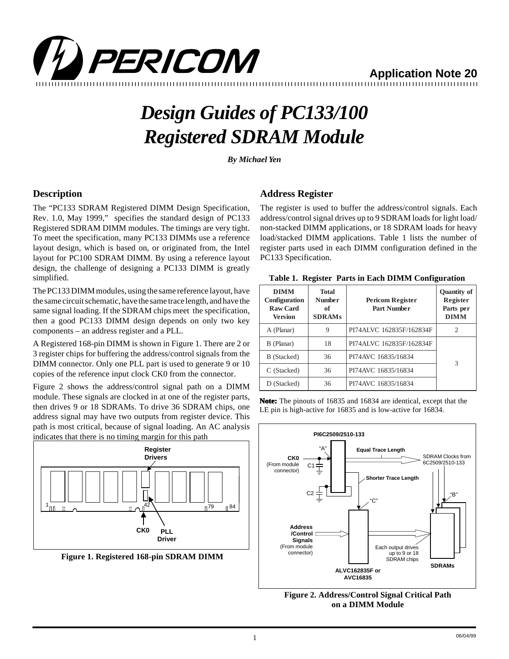

**Application Note 20**

# *Design Guides of PC133/100 Registered SDRAM Module*

*By Michael Yen*

## **Description**

The "PC133 SDRAM Registered DIMM Design Specification, Rev. 1.0, May 1999," specifies the standard design of PC133 Registered SDRAM DIMM modules. The timings are very tight. To meet the specification, many PC133 DIMMs use a reference layout design, which is based on, or originated from, the Intel layout for PC100 SDRAM DIMM. By using a reference layout design, the challenge of designing a PC133 DIMM is greatly simplified.

The PC133 DIMM modules, using the same reference layout, have the same circuit schematic, have the same trace length, and have the same signal loading. If the SDRAM chips meet the specification, then a good PC133 DIMM design depends on only two key components – an address register and a PLL.

A Registered 168-pin DIMM is shown in Figure 1. There are 2 or 3 register chips for buffering the address/control signals from the DIMM connector. Only one PLL part is used to generate 9 or 10 copies of the reference input clock CK0 from the connector.

Figure 2 shows the address/control signal path on a DIMM module. These signals are clocked in at one of the register parts, then drives 9 or 18 SDRAMs. To drive 36 SDRAM chips, one address signal may have two outputs from register device. This path is most critical, because of signal loading. An AC analysis indicates that there is no timing margin for this path



**Figure 1. Registered 168-pin SDRAM DIMM**

### **Address Register**

The register is used to buffer the address/control signals. Each address/control signal drives up to 9 SDRAM loads for light load/ non-stacked DIMM applications, or 18 SDRAM loads for heavy load/stacked DIMM applications. Table 1 lists the number of register parts used in each DIMM configuration defined in the PC133 Specification.

|  |  | Table 1. Register Parts in Each DIMM Configuration |
|--|--|----------------------------------------------------|
|  |  |                                                    |

| <b>DIMM</b><br>Configuration<br><b>Raw Card</b><br>Version | Total<br><b>Number</b><br>of<br><b>SDRAMs</b> | <b>Pericom Register</b><br><b>Part Number</b> | <b>Quantity of</b><br>Register<br>Parts per<br><b>DIMM</b> |
|------------------------------------------------------------|-----------------------------------------------|-----------------------------------------------|------------------------------------------------------------|
| A (Planar)                                                 | 9                                             | PI74ALVC 162835F/162834F                      | 2                                                          |
| B (Planar)                                                 | 18                                            | PI74ALVC 162835F/162834F                      |                                                            |
| B (Stacked)                                                | 36                                            | PI74AVC 16835/16834                           | 3                                                          |
| C (Stacked)                                                | 36                                            | PI74AVC 16835/16834                           |                                                            |
| D (Stacked)                                                | 36                                            | PI74AVC 16835/16834                           |                                                            |

**Note:** The pinouts of 16835 and 16834 are identical, except that the LE pin is high-active for 16835 and is low-active for 16834.



**Figure 2. Address/Control Signal Critical Path on a DIMM Module**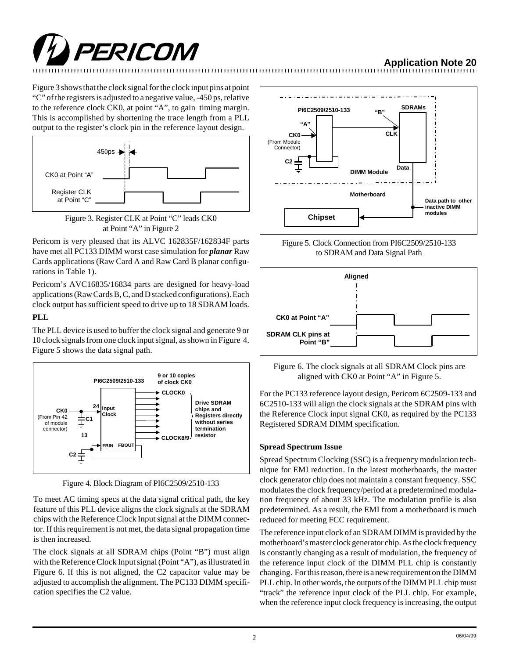

# **Application Note 20**

Figure 3 shows that the clock signal for the clock input pins at point "C" of the registers is adjusted to a negative value, -450 ps, relative to the reference clock CK0, at point "A", to gain timing margin. This is accomplished by shortening the trace length from a PLL output to the register's clock pin in the reference layout design.



Figure 3. Register CLK at Point "C" leads CK0 at Point "A" in Figure 2

Pericom is very pleased that its ALVC 162835F/162834F parts have met all PC133 DIMM worst case simulation for *planar* Raw Cards applications (Raw Card A and Raw Card B planar configurations in Table 1).

Pericom's AVC16835/16834 parts are designed for heavy-load applications (Raw Cards B, C, and D stacked configurations). Each clock output has sufficient speed to drive up to 18 SDRAM loads.

#### **PLL**

The PLL device is used to buffer the clock signal and generate 9 or 10 clock signals from one clock input signal, as shown in Figure 4. Figure 5 shows the data signal path.



Figure 4. Block Diagram of PI6C2509/2510-133

To meet AC timing specs at the data signal critical path, the key feature of this PLL device aligns the clock signals at the SDRAM chips with the Reference Clock Input signal at the DIMM connector. If this requirement is not met, the data signal propagation time is then increased.

The clock signals at all SDRAM chips (Point "B") must align with the Reference Clock Input signal (Point "A"), as illustrated in Figure 6. If this is not aligned, the C2 capacitor value may be adjusted to accomplish the alignment. The PC133 DIMM specification specifies the C2 value.



Figure 5. Clock Connection from PI6C2509/2510-133 to SDRAM and Data Signal Path



Figure 6. The clock signals at all SDRAM Clock pins are aligned with CK0 at Point "A" in Figure 5.

For the PC133 reference layout design, Pericom 6C2509-133 and 6C2510-133 will align the clock signals at the SDRAM pins with the Reference Clock input signal CK0, as required by the PC133 Registered SDRAM DIMM specification.

#### **Spread Spectrum Issue**

Spread Spectrum Clocking (SSC) is a frequency modulation technique for EMI reduction. In the latest motherboards, the master clock generator chip does not maintain a constant frequency. SSC modulates the clock frequency/period at a predetermined modulation frequency of about 33 kHz. The modulation profile is also predetermined. As a result, the EMI from a motherboard is much reduced for meeting FCC requirement.

The reference input clock of an SDRAM DIMM is provided by the motherboard's master clock generator chip. As the clock frequency is constantly changing as a result of modulation, the frequency of the reference input clock of the DIMM PLL chip is constantly changing. For this reason, there is a new requirement on the DIMM PLL chip. In other words, the outputs of the DIMM PLL chip must "track" the reference input clock of the PLL chip. For example, when the reference input clock frequency is increasing, the output